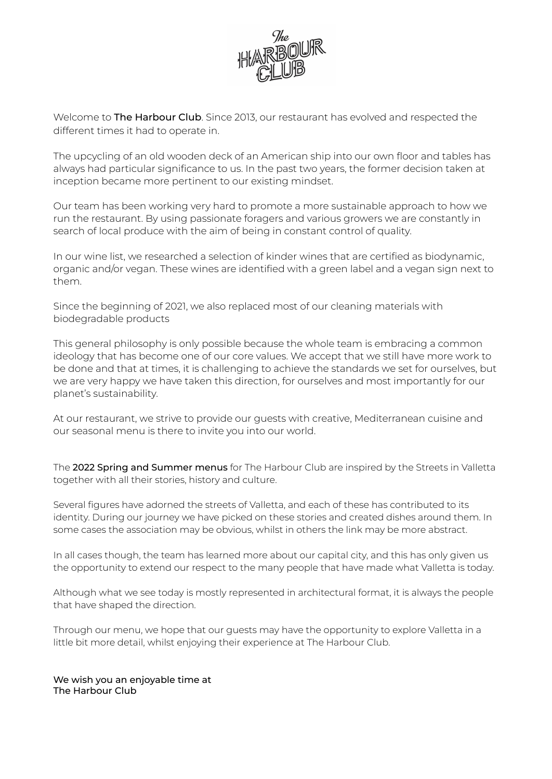

Welcome to **The Harbour Club**. Since 2013, our restaurant has evolved and respected the different times it had to operate in.

The upcycling of an old wooden deck of an American ship into our own floor and tables has always had particular significance to us. In the past two years, the former decision taken at inception became more pertinent to our existing mindset.

Our team has been working very hard to promote a more sustainable approach to how we run the restaurant. By using passionate foragers and various growers we are constantly in search of local produce with the aim of being in constant control of quality.

In our wine list, we researched a selection of kinder wines that are certified as biodynamic, organic and/or vegan. These wines are identified with a green label and a vegan sign next to them.

Since the beginning of 2021, we also replaced most of our cleaning materials with biodegradable products

This general philosophy is only possible because the whole team is embracing a common ideology that has become one of our core values. We accept that we still have more work to be done and that at times, it is challenging to achieve the standards we set for ourselves, but we are very happy we have taken this direction, for ourselves and most importantly for our planet's sustainability.

At our restaurant, we strive to provide our guests with creative, Mediterranean cuisine and our seasonal menu is there to invite you into our world.

The 2022 Spring and Summer menus for The Harbour Club are inspired by the Streets in Valletta together with all their stories, history and culture.

Several figures have adorned the streets of Valletta, and each of these has contributed to its identity. During our journey we have picked on these stories and created dishes around them. In some cases the association may be obvious, whilst in others the link may be more abstract.

In all cases though, the team has learned more about our capital city, and this has only given us the opportunity to extend our respect to the many people that have made what Valletta is today.

Although what we see today is mostly represented in architectural format, it is always the people that have shaped the direction.

Through our menu, we hope that our guests may have the opportunity to explore Valletta in a little bit more detail, whilst enjoying their experience at The Harbour Club.

We wish you an enjoyable time at The Harbour Club